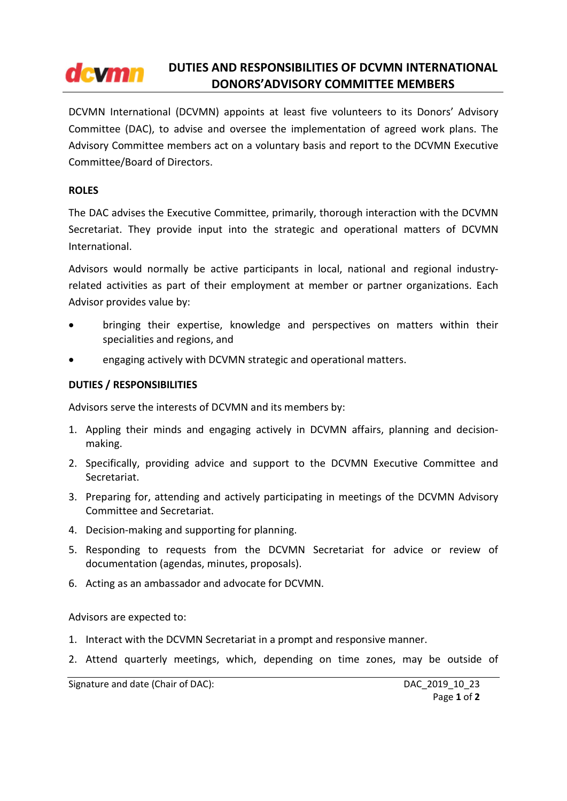#### DUTIES AND RESPONSIBILITIES OF DCVMN INTERNATIONAL **dcymn** DONORS'ADVISORY COMMITTEE MEMBERS

DCVMN International (DCVMN) appoints at least five volunteers to its Donors' Advisory Committee (DAC), to advise and oversee the implementation of agreed work plans. The Advisory Committee members act on a voluntary basis and report to the DCVMN Executive Committee/Board of Directors.

# ROLES

The DAC advises the Executive Committee, primarily, thorough interaction with the DCVMN Secretariat. They provide input into the strategic and operational matters of DCVMN International.

Advisors would normally be active participants in local, national and regional industryrelated activities as part of their employment at member or partner organizations. Each Advisor provides value by:

- bringing their expertise, knowledge and perspectives on matters within their specialities and regions, and
- engaging actively with DCVMN strategic and operational matters.

## DUTIES / RESPONSIBILITIES

Advisors serve the interests of DCVMN and its members by:

- 1. Appling their minds and engaging actively in DCVMN affairs, planning and decisionmaking.
- 2. Specifically, providing advice and support to the DCVMN Executive Committee and Secretariat.
- 3. Preparing for, attending and actively participating in meetings of the DCVMN Advisory Committee and Secretariat.
- 4. Decision-making and supporting for planning.
- 5. Responding to requests from the DCVMN Secretariat for advice or review of documentation (agendas, minutes, proposals).
- 6. Acting as an ambassador and advocate for DCVMN.

Advisors are expected to:

- 1. Interact with the DCVMN Secretariat in a prompt and responsive manner.
- 2. Attend quarterly meetings, which, depending on time zones, may be outside of